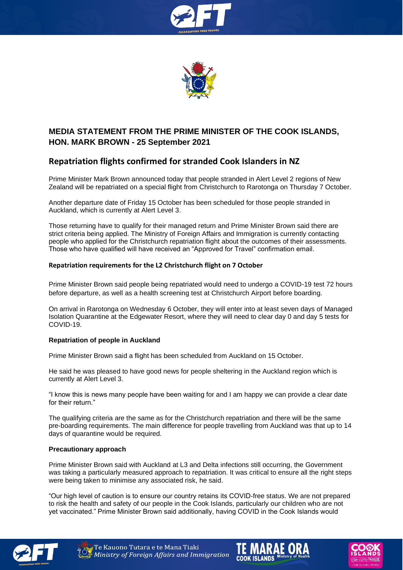



## **MEDIA STATEMENT FROM THE PRIME MINISTER OF THE COOK ISLANDS, HON. MARK BROWN - 25 September 2021**

# **Repatriation flights confirmed for stranded Cook Islanders in NZ**

Prime Minister Mark Brown announced today that people stranded in Alert Level 2 regions of New Zealand will be repatriated on a special flight from Christchurch to Rarotonga on Thursday 7 October.

Another departure date of Friday 15 October has been scheduled for those people stranded in Auckland, which is currently at Alert Level 3.

Those returning have to qualify for their managed return and Prime Minister Brown said there are strict criteria being applied. The Ministry of Foreign Affairs and Immigration is currently contacting people who applied for the Christchurch repatriation flight about the outcomes of their assessments. Those who have qualified will have received an "Approved for Travel" confirmation email.

### **Repatriation requirements for the L2 Christchurch flight on 7 October**

Prime Minister Brown said people being repatriated would need to undergo a COVID-19 test 72 hours before departure, as well as a health screening test at Christchurch Airport before boarding.

On arrival in Rarotonga on Wednesday 6 October, they will enter into at least seven days of Managed Isolation Quarantine at the Edgewater Resort, where they will need to clear day 0 and day 5 tests for COVID-19.

### **Repatriation of people in Auckland**

Prime Minister Brown said a flight has been scheduled from Auckland on 15 October.

He said he was pleased to have good news for people sheltering in the Auckland region which is currently at Alert Level 3.

"I know this is news many people have been waiting for and I am happy we can provide a clear date for their return."

The qualifying criteria are the same as for the Christchurch repatriation and there will be the same pre-boarding requirements. The main difference for people travelling from Auckland was that up to 14 days of quarantine would be required.

#### **Precautionary approach**

Prime Minister Brown said with Auckland at L3 and Delta infections still occurring, the Government was taking a particularly measured approach to repatriation. It was critical to ensure all the right steps were being taken to minimise any associated risk, he said.

"Our high level of caution is to ensure our country retains its COVID-free status. We are not prepared to risk the health and safety of our people in the Cook Islands, particularly our children who are not yet vaccinated." Prime Minister Brown said additionally, having COVID in the Cook Islands would